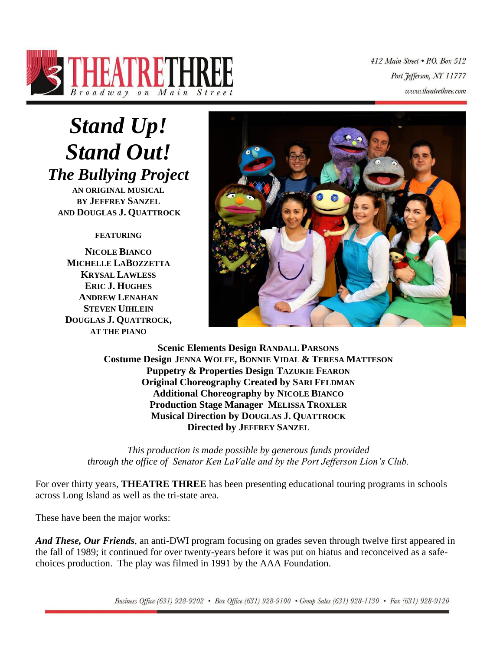

412 Main Street . P.O. Box 512 Port Jefferson, NY 11777 www.theatrethree.com

# *Stand Up! Stand Out! The Bullying Project*

**AN ORIGINAL MUSICAL BY JEFFREY SANZEL AND DOUGLAS J. QUATTROCK**

## **FEATURING**

**NICOLE BIANCO MICHELLE LABOZZETTA KRYSAL LAWLESS ERIC J. HUGHES ANDREW LENAHAN STEVEN UIHLEIN DOUGLAS J. QUATTROCK, AT THE PIANO**



**Scenic Elements Design RANDALL PARSONS Costume Design JENNA WOLFE, BONNIE VIDAL & TERESA MATTESON Puppetry & Properties Design TAZUKIE FEARON Original Choreography Created by SARI FELDMAN Additional Choreography by NICOLE BIANCO Production Stage Manager MELISSA TROXLER Musical Direction by DOUGLAS J. QUATTROCK Directed by JEFFREY SANZEL**

*This production is made possible by generous funds provided through the office of Senator Ken LaValle and by the Port Jefferson Lion's Club.*

For over thirty years, **THEATRE THREE** has been presenting educational touring programs in schools across Long Island as well as the tri-state area.

These have been the major works:

*And These, Our Friends*, an anti-DWI program focusing on grades seven through twelve first appeared in the fall of 1989; it continued for over twenty-years before it was put on hiatus and reconceived as a safechoices production. The play was filmed in 1991 by the AAA Foundation.

Business Office (631) 928-9202 • Box Office (631) 928-9100 • Group Sales (631) 928-1130 • Fax (631) 928-9120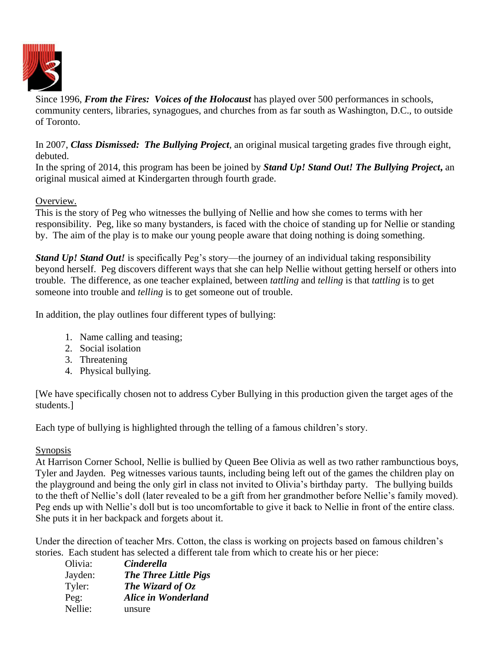

Since 1996, *From the Fires: Voices of the Holocaust* has played over 500 performances in schools, community centers, libraries, synagogues, and churches from as far south as Washington, D.C., to outside of Toronto.

In 2007, *Class Dismissed: The Bullying Project,* an original musical targeting grades five through eight, debuted.

In the spring of 2014, this program has been be joined by *Stand Up! Stand Out! The Bullying Project***,** an original musical aimed at Kindergarten through fourth grade.

## Overview.

This is the story of Peg who witnesses the bullying of Nellie and how she comes to terms with her responsibility. Peg, like so many bystanders, is faced with the choice of standing up for Nellie or standing by. The aim of the play is to make our young people aware that doing nothing is doing something.

*Stand Up! Stand Out!* is specifically Peg's story—the journey of an individual taking responsibility beyond herself. Peg discovers different ways that she can help Nellie without getting herself or others into trouble. The difference, as one teacher explained, between *tattling* and *telling* is that *tattling* is to get someone into trouble and *telling* is to get someone out of trouble.

In addition, the play outlines four different types of bullying:

- 1. Name calling and teasing;
- 2. Social isolation
- 3. Threatening
- 4. Physical bullying.

[We have specifically chosen not to address Cyber Bullying in this production given the target ages of the students.]

Each type of bullying is highlighted through the telling of a famous children's story.

## Synopsis

At Harrison Corner School, Nellie is bullied by Queen Bee Olivia as well as two rather rambunctious boys, Tyler and Jayden. Peg witnesses various taunts, including being left out of the games the children play on the playground and being the only girl in class not invited to Olivia's birthday party. The bullying builds to the theft of Nellie's doll (later revealed to be a gift from her grandmother before Nellie's family moved). Peg ends up with Nellie's doll but is too uncomfortable to give it back to Nellie in front of the entire class. She puts it in her backpack and forgets about it.

Under the direction of teacher Mrs. Cotton, the class is working on projects based on famous children's stories. Each student has selected a different tale from which to create his or her piece:

| Olivia: | <b>Cinderella</b>            |
|---------|------------------------------|
| Jayden: | <b>The Three Little Pigs</b> |
| Tyler:  | The Wizard of $Oz$           |
| Peg:    | Alice in Wonderland          |
| Nellie: | unsure                       |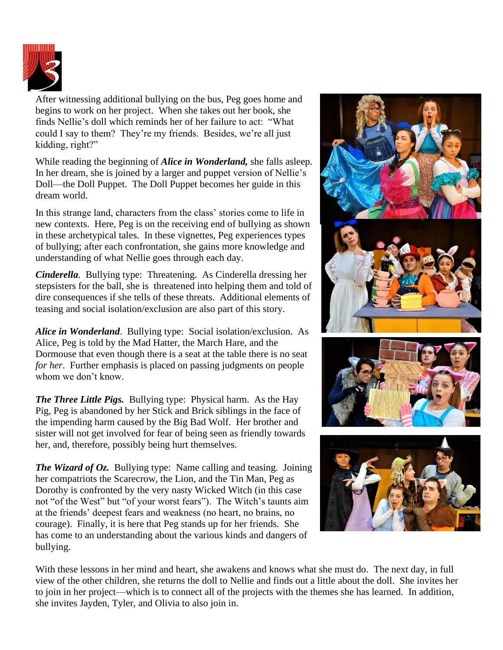

After witnessing additional bullying on the bus, Peg goes home and begins to work on her project. When she takes out her book, she finds Nellie's doll which reminds her of her failure to act: "What could I say to them? They're my friends. Besides, we're all just kidding, right?"

While reading the beginning of *Alice in Wonderland,* she falls asleep. In her dream, she is joined by a larger and puppet version of Nellie's Doll—the Doll Puppet. The Doll Puppet becomes her guide in this dream world.

In this strange land, characters from the class' stories come to life in new contexts. Here, Peg is on the receiving end of bullying as shown in these archetypical tales. In these vignettes, Peg experiences types of bullying; after each confrontation, she gains more knowledge and understanding of what Nellie goes through each day.

*Cinderella.* Bullying type: Threatening. As Cinderella dressing her stepsisters for the ball, she is threatened into helping them and told of dire consequences if she tells of these threats. Additional elements of teasing and social isolation/exclusion are also part of this story.

*Alice in Wonderland*. Bullying type: Social isolation/exclusion. As Alice, Peg is told by the Mad Hatter, the March Hare, and the Dormouse that even though there is a seat at the table there is no seat *for her*. Further emphasis is placed on passing judgments on people whom we don't know.

*The Three Little Pigs.* Bullying type: Physical harm. As the Hay Pig, Peg is abandoned by her Stick and Brick siblings in the face of the impending harm caused by the Big Bad Wolf. Her brother and sister will not get involved for fear of being seen as friendly towards her, and, therefore, possibly being hurt themselves.

*The Wizard of Oz.* Bullying type: Name calling and teasing. Joining her compatriots the Scarecrow, the Lion, and the Tin Man, Peg as Dorothy is confronted by the very nasty Wicked Witch (in this case not "of the West" but "of your worst fears"). The Witch's taunts aim at the friends' deepest fears and weakness (no heart, no brains, no courage). Finally, it is here that Peg stands up for her friends. She has come to an understanding about the various kinds and dangers of bullying.



With these lessons in her mind and heart, she awakens and knows what she must do. The next day, in full view of the other children, she returns the doll to Nellie and finds out a little about the doll. She invites her to join in her project—which is to connect all of the projects with the themes she has learned. In addition, she invites Jayden, Tyler, and Olivia to also join in.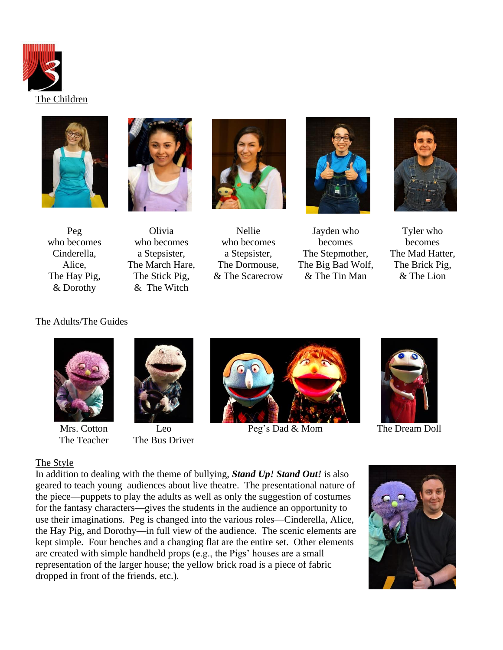





Peg who becomes Cinderella, Alice, The Hay Pig, & Dorothy

Olivia who becomes a Stepsister, The March Hare, The Stick Pig, & The Witch



Nellie who becomes a Stepsister, The Dormouse, & The Scarecrow



Jayden who becomes The Stepmother, The Big Bad Wolf, & The Tin Man



Tyler who becomes The Mad Hatter, The Brick Pig, & The Lion

### The Adults/The Guides



Mrs. Cotton The Teacher



Leo The Bus Driver



Peg's Dad & Mom The Dream Doll



### The Style

In addition to dealing with the theme of bullying, *Stand Up! Stand Out!* is also geared to teach young audiences about live theatre. The presentational nature of the piece—puppets to play the adults as well as only the suggestion of costumes for the fantasy characters—gives the students in the audience an opportunity to use their imaginations. Peg is changed into the various roles—Cinderella, Alice, the Hay Pig, and Dorothy—in full view of the audience. The scenic elements are kept simple. Four benches and a changing flat are the entire set. Other elements are created with simple handheld props (e.g., the Pigs' houses are a small representation of the larger house; the yellow brick road is a piece of fabric dropped in front of the friends, etc.).

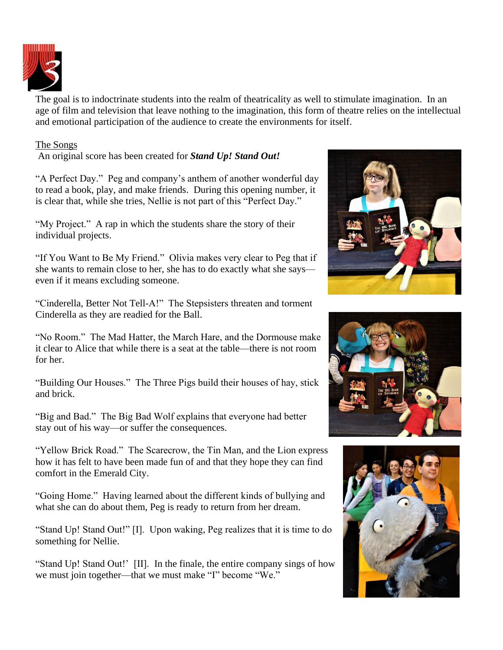

The goal is to indoctrinate students into the realm of theatricality as well to stimulate imagination. In an age of film and television that leave nothing to the imagination, this form of theatre relies on the intellectual and emotional participation of the audience to create the environments for itself.

## The Songs

An original score has been created for *Stand Up! Stand Out!* 

"A Perfect Day." Peg and company's anthem of another wonderful day to read a book, play, and make friends. During this opening number, it is clear that, while she tries, Nellie is not part of this "Perfect Day."

"My Project." A rap in which the students share the story of their individual projects.

"If You Want to Be My Friend." Olivia makes very clear to Peg that if she wants to remain close to her, she has to do exactly what she says even if it means excluding someone.

"Cinderella, Better Not Tell-A!" The Stepsisters threaten and torment Cinderella as they are readied for the Ball.

"No Room." The Mad Hatter, the March Hare, and the Dormouse make it clear to Alice that while there is a seat at the table—there is not room for her.

"Building Our Houses." The Three Pigs build their houses of hay, stick and brick.

"Big and Bad." The Big Bad Wolf explains that everyone had better stay out of his way—or suffer the consequences.

"Yellow Brick Road." The Scarecrow, the Tin Man, and the Lion express how it has felt to have been made fun of and that they hope they can find comfort in the Emerald City.

"Going Home." Having learned about the different kinds of bullying and what she can do about them, Peg is ready to return from her dream.

"Stand Up! Stand Out!" [I]. Upon waking, Peg realizes that it is time to do something for Nellie.

"Stand Up! Stand Out!' [II]. In the finale, the entire company sings of how we must join together—that we must make "I" become "We."





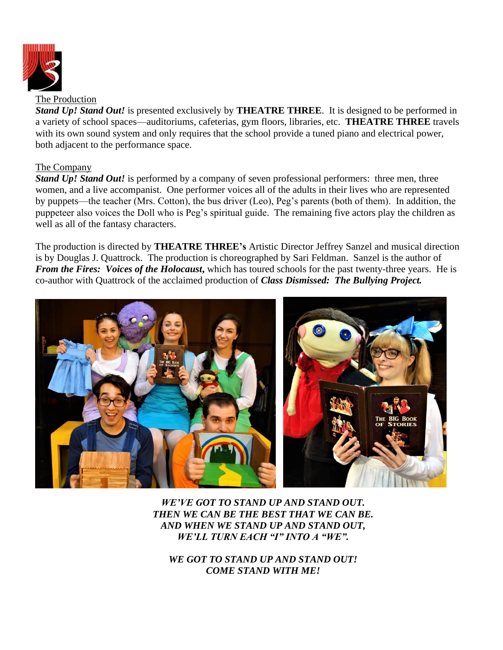

The Production

*Stand Up! Stand Out!* is presented exclusively by **THEATRE THREE**. It is designed to be performed in a variety of school spaces—auditoriums, cafeterias, gym floors, libraries, etc. **THEATRE THREE** travels with its own sound system and only requires that the school provide a tuned piano and electrical power, both adjacent to the performance space.

#### The Company

*Stand Up! Stand Out!* is performed by a company of seven professional performers: three men, three women, and a live accompanist. One performer voices all of the adults in their lives who are represented by puppets—the teacher (Mrs. Cotton), the bus driver (Leo), Peg's parents (both of them). In addition, the puppeteer also voices the Doll who is Peg's spiritual guide. The remaining five actors play the children as well as all of the fantasy characters.

The production is directed by **THEATRE THREE's** Artistic Director Jeffrey Sanzel and musical direction is by Douglas J. Quattrock. The production is choreographed by Sari Feldman. Sanzel is the author of *From the Fires: Voices of the Holocaust***,** which has toured schools for the past twenty-three years. He is co-author with Quattrock of the acclaimed production of *Class Dismissed: The Bullying Project.*



*WE'VE GOT TO STAND UP AND STAND OUT. THEN WE CAN BE THE BEST THAT WE CAN BE. AND WHEN WE STAND UP AND STAND OUT, WE'LL TURN EACH "I" INTO A "WE".*

*WE GOT TO STAND UP AND STAND OUT! COME STAND WITH ME!*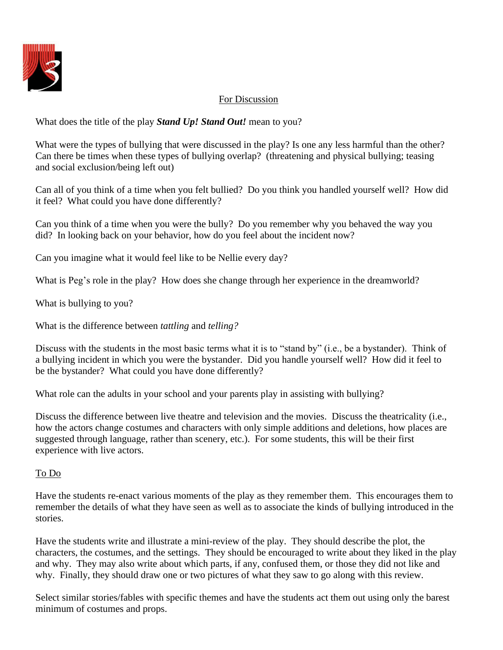

# For Discussion

What does the title of the play *Stand Up! Stand Out!* mean to you?

What were the types of bullying that were discussed in the play? Is one any less harmful than the other? Can there be times when these types of bullying overlap? (threatening and physical bullying; teasing and social exclusion/being left out)

Can all of you think of a time when you felt bullied? Do you think you handled yourself well? How did it feel? What could you have done differently?

Can you think of a time when you were the bully? Do you remember why you behaved the way you did? In looking back on your behavior, how do you feel about the incident now?

Can you imagine what it would feel like to be Nellie every day?

What is Peg's role in the play? How does she change through her experience in the dreamworld?

What is bullying to you?

What is the difference between *tattling* and *telling?*

Discuss with the students in the most basic terms what it is to "stand by" (i.e., be a bystander). Think of a bullying incident in which you were the bystander. Did you handle yourself well? How did it feel to be the bystander? What could you have done differently?

What role can the adults in your school and your parents play in assisting with bullying?

Discuss the difference between live theatre and television and the movies. Discuss the theatricality (i.e., how the actors change costumes and characters with only simple additions and deletions, how places are suggested through language, rather than scenery, etc.). For some students, this will be their first experience with live actors.

## To Do

Have the students re-enact various moments of the play as they remember them. This encourages them to remember the details of what they have seen as well as to associate the kinds of bullying introduced in the stories.

Have the students write and illustrate a mini-review of the play. They should describe the plot, the characters, the costumes, and the settings. They should be encouraged to write about they liked in the play and why. They may also write about which parts, if any, confused them, or those they did not like and why. Finally, they should draw one or two pictures of what they saw to go along with this review.

Select similar stories/fables with specific themes and have the students act them out using only the barest minimum of costumes and props.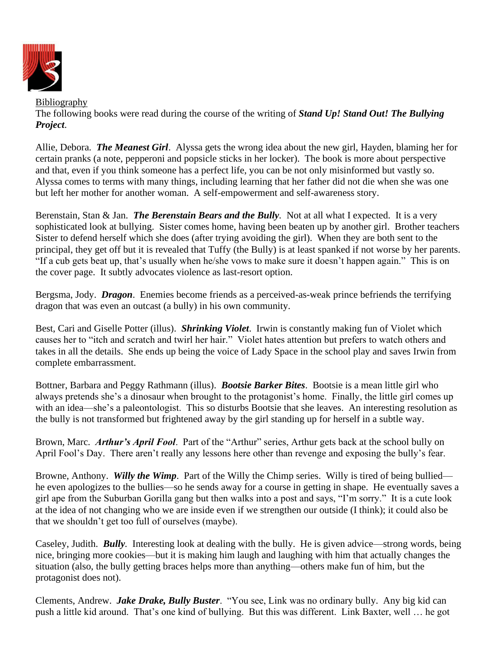

Bibliography The following books were read during the course of the writing of *Stand Up! Stand Out! The Bullying Project*.

Allie, Debora. *The Meanest Girl*. Alyssa gets the wrong idea about the new girl, Hayden, blaming her for certain pranks (a note, pepperoni and popsicle sticks in her locker). The book is more about perspective and that, even if you think someone has a perfect life, you can be not only misinformed but vastly so. Alyssa comes to terms with many things, including learning that her father did not die when she was one but left her mother for another woman. A self-empowerment and self-awareness story.

Berenstain, Stan & Jan. *The Berenstain Bears and the Bully.* Not at all what I expected. It is a very sophisticated look at bullying. Sister comes home, having been beaten up by another girl. Brother teachers Sister to defend herself which she does (after trying avoiding the girl). When they are both sent to the principal, they get off but it is revealed that Tuffy (the Bully) is at least spanked if not worse by her parents. "If a cub gets beat up, that's usually when he/she vows to make sure it doesn't happen again." This is on the cover page. It subtly advocates violence as last-resort option.

Bergsma, Jody. *Dragon*. Enemies become friends as a perceived-as-weak prince befriends the terrifying dragon that was even an outcast (a bully) in his own community.

Best, Cari and Giselle Potter (illus). *Shrinking Violet*. Irwin is constantly making fun of Violet which causes her to "itch and scratch and twirl her hair." Violet hates attention but prefers to watch others and takes in all the details. She ends up being the voice of Lady Space in the school play and saves Irwin from complete embarrassment.

Bottner, Barbara and Peggy Rathmann (illus). *Bootsie Barker Bites*. Bootsie is a mean little girl who always pretends she's a dinosaur when brought to the protagonist's home. Finally, the little girl comes up with an idea—she's a paleontologist. This so disturbs Bootsie that she leaves. An interesting resolution as the bully is not transformed but frightened away by the girl standing up for herself in a subtle way.

Brown, Marc. *Arthur's April Fool*. Part of the "Arthur" series, Arthur gets back at the school bully on April Fool's Day. There aren't really any lessons here other than revenge and exposing the bully's fear.

Browne, Anthony. *Willy the Wimp*. Part of the Willy the Chimp series. Willy is tired of being bullied he even apologizes to the bullies—so he sends away for a course in getting in shape. He eventually saves a girl ape from the Suburban Gorilla gang but then walks into a post and says, "I'm sorry." It is a cute look at the idea of not changing who we are inside even if we strengthen our outside (I think); it could also be that we shouldn't get too full of ourselves (maybe).

Caseley, Judith. *Bully.* Interesting look at dealing with the bully. He is given advice—strong words, being nice, bringing more cookies—but it is making him laugh and laughing with him that actually changes the situation (also, the bully getting braces helps more than anything—others make fun of him, but the protagonist does not).

Clements, Andrew. *Jake Drake, Bully Buster*. "You see, Link was no ordinary bully. Any big kid can push a little kid around. That's one kind of bullying. But this was different. Link Baxter, well … he got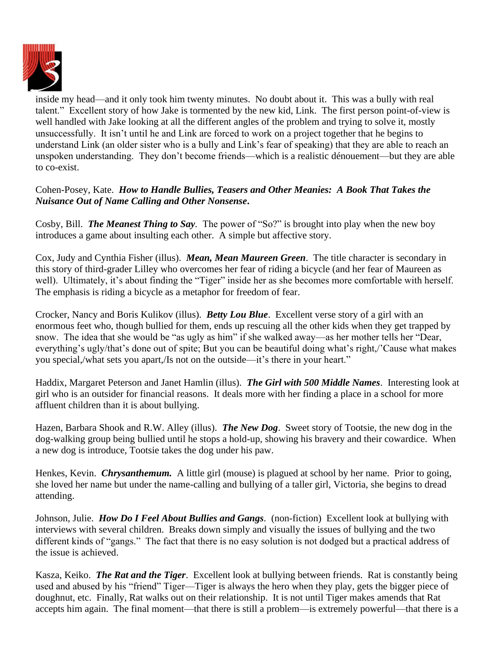

inside my head—and it only took him twenty minutes. No doubt about it. This was a bully with real talent." Excellent story of how Jake is tormented by the new kid, Link. The first person point-of-view is well handled with Jake looking at all the different angles of the problem and trying to solve it, mostly unsuccessfully. It isn't until he and Link are forced to work on a project together that he begins to understand Link (an older sister who is a bully and Link's fear of speaking) that they are able to reach an unspoken understanding. They don't become friends—which is a realistic dénouement—but they are able to co-exist.

# Cohen-Posey, Kate. *How to Handle Bullies, Teasers and Other Meanies: A Book That Takes the Nuisance Out of Name Calling and Other Nonsense***.**

Cosby, Bill. *The Meanest Thing to Say.* The power of "So?" is brought into play when the new boy introduces a game about insulting each other. A simple but affective story.

Cox, Judy and Cynthia Fisher (illus). *Mean, Mean Maureen Green*. The title character is secondary in this story of third-grader Lilley who overcomes her fear of riding a bicycle (and her fear of Maureen as well). Ultimately, it's about finding the "Tiger" inside her as she becomes more comfortable with herself. The emphasis is riding a bicycle as a metaphor for freedom of fear.

Crocker, Nancy and Boris Kulikov (illus). *Betty Lou Blue*. Excellent verse story of a girl with an enormous feet who, though bullied for them, ends up rescuing all the other kids when they get trapped by snow. The idea that she would be "as ugly as him" if she walked away—as her mother tells her "Dear, everything's ugly/that's done out of spite; But you can be beautiful doing what's right,/'Cause what makes you special,/what sets you apart,/Is not on the outside—it's there in your heart."

Haddix, Margaret Peterson and Janet Hamlin (illus). *The Girl with 500 Middle Names*. Interesting look at girl who is an outsider for financial reasons. It deals more with her finding a place in a school for more affluent children than it is about bullying.

Hazen, Barbara Shook and R.W. Alley (illus). *The New Dog*. Sweet story of Tootsie, the new dog in the dog-walking group being bullied until he stops a hold-up, showing his bravery and their cowardice. When a new dog is introduce, Tootsie takes the dog under his paw.

Henkes, Kevin. *Chrysanthemum*. A little girl (mouse) is plagued at school by her name. Prior to going, she loved her name but under the name-calling and bullying of a taller girl, Victoria, she begins to dread attending.

Johnson, Julie. *How Do I Feel About Bullies and Gangs.* (non-fiction) Excellent look at bullying with interviews with several children. Breaks down simply and visually the issues of bullying and the two different kinds of "gangs." The fact that there is no easy solution is not dodged but a practical address of the issue is achieved.

Kasza, Keiko. *The Rat and the Tiger*. Excellent look at bullying between friends. Rat is constantly being used and abused by his "friend" Tiger—Tiger is always the hero when they play, gets the bigger piece of doughnut, etc. Finally, Rat walks out on their relationship. It is not until Tiger makes amends that Rat accepts him again. The final moment—that there is still a problem—is extremely powerful—that there is a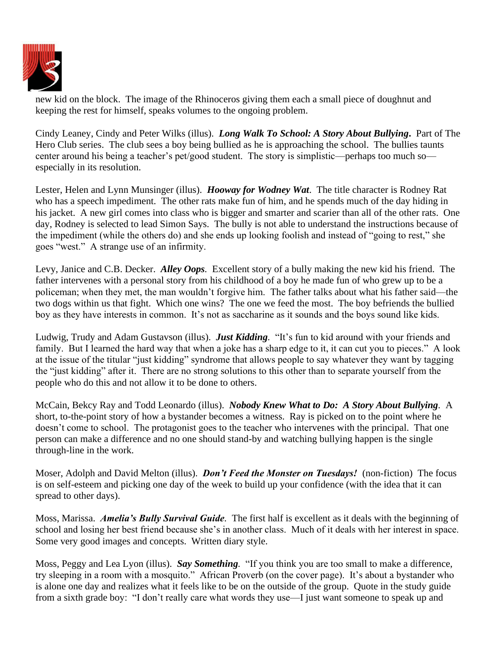

new kid on the block. The image of the Rhinoceros giving them each a small piece of doughnut and keeping the rest for himself, speaks volumes to the ongoing problem.

Cindy Leaney, Cindy and Peter Wilks (illus). *Long Walk To School: A Story About Bullying***.** Part of The Hero Club series. The club sees a boy being bullied as he is approaching the school. The bullies taunts center around his being a teacher's pet/good student. The story is simplistic—perhaps too much so especially in its resolution.

Lester, Helen and Lynn Munsinger (illus). *Hooway for Wodney Wat*. The title character is Rodney Rat who has a speech impediment. The other rats make fun of him, and he spends much of the day hiding in his jacket. A new girl comes into class who is bigger and smarter and scarier than all of the other rats. One day, Rodney is selected to lead Simon Says. The bully is not able to understand the instructions because of the impediment (while the others do) and she ends up looking foolish and instead of "going to rest," she goes "west." A strange use of an infirmity.

Levy, Janice and C.B. Decker. *Alley Oops.* Excellent story of a bully making the new kid his friend. The father intervenes with a personal story from his childhood of a boy he made fun of who grew up to be a policeman; when they met, the man wouldn't forgive him. The father talks about what his father said—the two dogs within us that fight. Which one wins? The one we feed the most. The boy befriends the bullied boy as they have interests in common. It's not as saccharine as it sounds and the boys sound like kids.

Ludwig, Trudy and Adam Gustavson (illus). *Just Kidding.* "It's fun to kid around with your friends and family. But I learned the hard way that when a joke has a sharp edge to it, it can cut you to pieces." A look at the issue of the titular "just kidding" syndrome that allows people to say whatever they want by tagging the "just kidding" after it. There are no strong solutions to this other than to separate yourself from the people who do this and not allow it to be done to others.

McCain, Bekcy Ray and Todd Leonardo (illus). *Nobody Knew What to Do: A Story About Bullying.* A short, to-the-point story of how a bystander becomes a witness. Ray is picked on to the point where he doesn't come to school. The protagonist goes to the teacher who intervenes with the principal. That one person can make a difference and no one should stand-by and watching bullying happen is the single through-line in the work.

Moser, Adolph and David Melton (illus). *Don't Feed the Monster on Tuesdays!* (non-fiction) The focus is on self-esteem and picking one day of the week to build up your confidence (with the idea that it can spread to other days).

Moss, Marissa. *Amelia's Bully Survival Guide.* The first half is excellent as it deals with the beginning of school and losing her best friend because she's in another class. Much of it deals with her interest in space. Some very good images and concepts. Written diary style.

Moss, Peggy and Lea Lyon (illus). *Say Something.* "If you think you are too small to make a difference, try sleeping in a room with a mosquito." African Proverb (on the cover page). It's about a bystander who is alone one day and realizes what it feels like to be on the outside of the group. Quote in the study guide from a sixth grade boy: "I don't really care what words they use—I just want someone to speak up and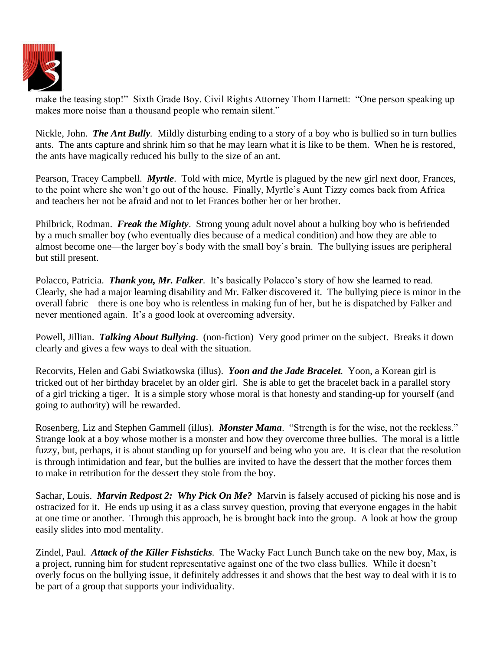

make the teasing stop!" Sixth Grade Boy. Civil Rights Attorney Thom Harnett: "One person speaking up makes more noise than a thousand people who remain silent."

Nickle, John. *The Ant Bully.* Mildly disturbing ending to a story of a boy who is bullied so in turn bullies ants. The ants capture and shrink him so that he may learn what it is like to be them. When he is restored, the ants have magically reduced his bully to the size of an ant.

Pearson, Tracey Campbell. *Myrtle*. Told with mice, Myrtle is plagued by the new girl next door, Frances, to the point where she won't go out of the house. Finally, Myrtle's Aunt Tizzy comes back from Africa and teachers her not be afraid and not to let Frances bother her or her brother.

Philbrick, Rodman. *Freak the Mighty*. Strong young adult novel about a hulking boy who is befriended by a much smaller boy (who eventually dies because of a medical condition) and how they are able to almost become one—the larger boy's body with the small boy's brain. The bullying issues are peripheral but still present.

Polacco, Patricia. *Thank you, Mr. Falker.* It's basically Polacco's story of how she learned to read. Clearly, she had a major learning disability and Mr. Falker discovered it. The bullying piece is minor in the overall fabric—there is one boy who is relentless in making fun of her, but he is dispatched by Falker and never mentioned again. It's a good look at overcoming adversity.

Powell, Jillian. *Talking About Bullying*. (non-fiction) Very good primer on the subject. Breaks it down clearly and gives a few ways to deal with the situation.

Recorvits, Helen and Gabi Swiatkowska (illus). *Yoon and the Jade Bracelet.* Yoon, a Korean girl is tricked out of her birthday bracelet by an older girl. She is able to get the bracelet back in a parallel story of a girl tricking a tiger. It is a simple story whose moral is that honesty and standing-up for yourself (and going to authority) will be rewarded.

Rosenberg, Liz and Stephen Gammell (illus). *Monster Mama*. "Strength is for the wise, not the reckless." Strange look at a boy whose mother is a monster and how they overcome three bullies. The moral is a little fuzzy, but, perhaps, it is about standing up for yourself and being who you are. It is clear that the resolution is through intimidation and fear, but the bullies are invited to have the dessert that the mother forces them to make in retribution for the dessert they stole from the boy.

Sachar, Louis. *Marvin Redpost 2: Why Pick On Me?* Marvin is falsely accused of picking his nose and is ostracized for it. He ends up using it as a class survey question, proving that everyone engages in the habit at one time or another. Through this approach, he is brought back into the group. A look at how the group easily slides into mod mentality.

Zindel, Paul. *Attack of the Killer Fishsticks.* The Wacky Fact Lunch Bunch take on the new boy, Max, is a project, running him for student representative against one of the two class bullies. While it doesn't overly focus on the bullying issue, it definitely addresses it and shows that the best way to deal with it is to be part of a group that supports your individuality.